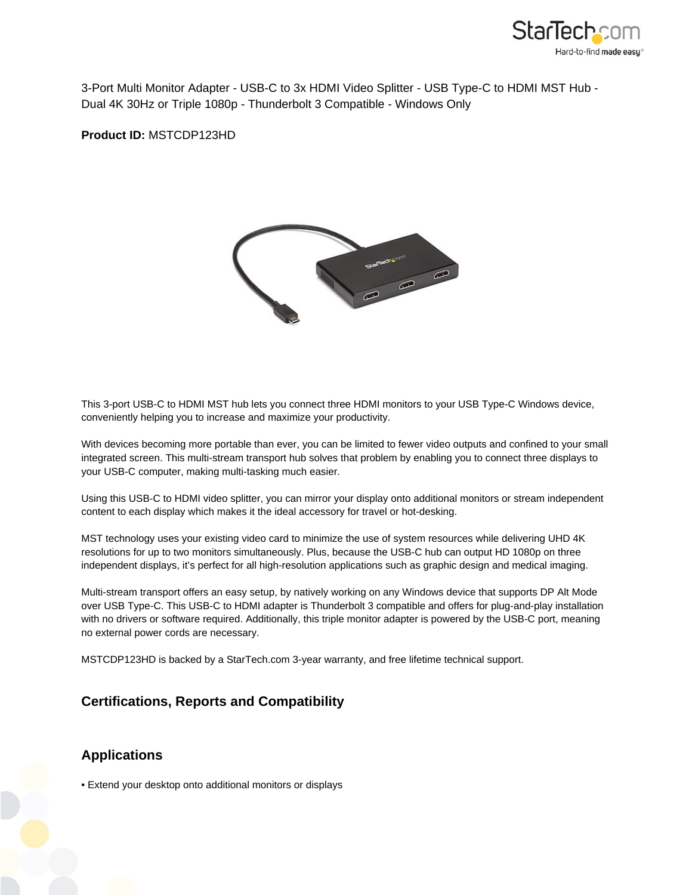

3-Port Multi Monitor Adapter - USB-C to 3x HDMI Video Splitter - USB Type-C to HDMI MST Hub - Dual 4K 30Hz or Triple 1080p - Thunderbolt 3 Compatible - Windows Only

**Product ID:** MSTCDP123HD



This 3-port USB-C to HDMI MST hub lets you connect three HDMI monitors to your USB Type-C Windows device, conveniently helping you to increase and maximize your productivity.

With devices becoming more portable than ever, you can be limited to fewer video outputs and confined to your small integrated screen. This multi-stream transport hub solves that problem by enabling you to connect three displays to your USB-C computer, making multi-tasking much easier.

Using this USB-C to HDMI video splitter, you can mirror your display onto additional monitors or stream independent content to each display which makes it the ideal accessory for travel or hot-desking.

MST technology uses your existing video card to minimize the use of system resources while delivering UHD 4K resolutions for up to two monitors simultaneously. Plus, because the USB-C hub can output HD 1080p on three independent displays, it's perfect for all high-resolution applications such as graphic design and medical imaging.

Multi-stream transport offers an easy setup, by natively working on any Windows device that supports DP Alt Mode over USB Type-C. This USB-C to HDMI adapter is Thunderbolt 3 compatible and offers for plug-and-play installation with no drivers or software required. Additionally, this triple monitor adapter is powered by the USB-C port, meaning no external power cords are necessary.

MSTCDP123HD is backed by a StarTech.com 3-year warranty, and free lifetime technical support.

## **Certifications, Reports and Compatibility**

## **Applications**

• Extend your desktop onto additional monitors or displays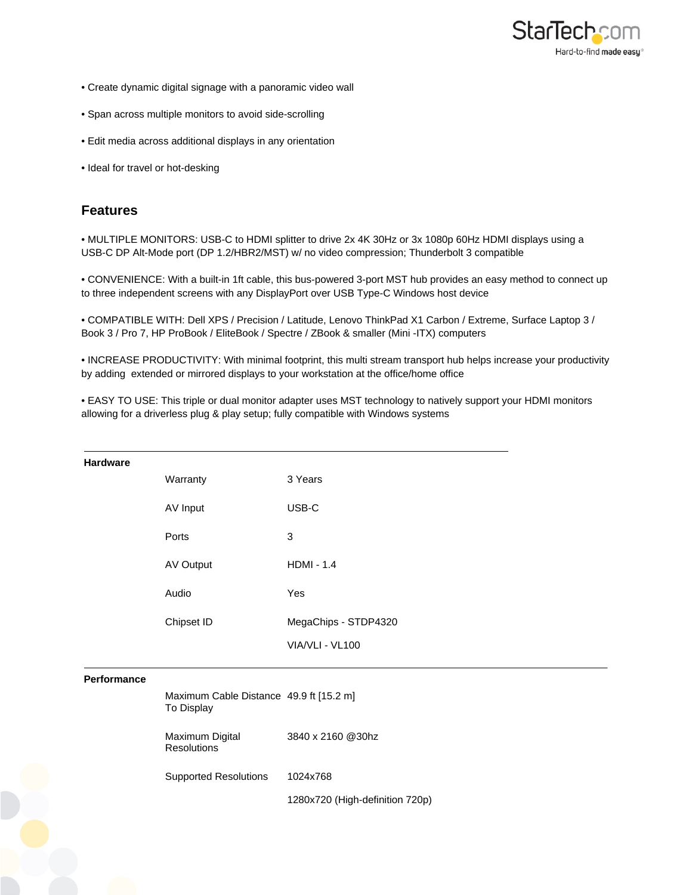

- Create dynamic digital signage with a panoramic video wall
- Span across multiple monitors to avoid side-scrolling
- Edit media across additional displays in any orientation
- Ideal for travel or hot-desking

## **Features**

• MULTIPLE MONITORS: USB-C to HDMI splitter to drive 2x 4K 30Hz or 3x 1080p 60Hz HDMI displays using a USB-C DP Alt-Mode port (DP 1.2/HBR2/MST) w/ no video compression; Thunderbolt 3 compatible

• CONVENIENCE: With a built-in 1ft cable, this bus-powered 3-port MST hub provides an easy method to connect up to three independent screens with any DisplayPort over USB Type-C Windows host device

• COMPATIBLE WITH: Dell XPS / Precision / Latitude, Lenovo ThinkPad X1 Carbon / Extreme, Surface Laptop 3 / Book 3 / Pro 7, HP ProBook / EliteBook / Spectre / ZBook & smaller (Mini -ITX) computers

• INCREASE PRODUCTIVITY: With minimal footprint, this multi stream transport hub helps increase your productivity by adding extended or mirrored displays to your workstation at the office/home office

• EASY TO USE: This triple or dual monitor adapter uses MST technology to natively support your HDMI monitors allowing for a driverless plug & play setup; fully compatible with Windows systems

| <b>Hardware</b>    |                                                       |                                 |
|--------------------|-------------------------------------------------------|---------------------------------|
|                    | Warranty                                              | 3 Years                         |
|                    | AV Input                                              | USB-C                           |
|                    | Ports                                                 | 3                               |
|                    | AV Output                                             | $HDMI - 1.4$                    |
|                    | Audio                                                 | Yes                             |
|                    | Chipset ID                                            | MegaChips - STDP4320            |
|                    |                                                       | VIA/VLI - VL100                 |
| <b>Performance</b> |                                                       |                                 |
|                    | Maximum Cable Distance 49.9 ft [15.2 m]<br>To Display |                                 |
|                    | Maximum Digital<br><b>Resolutions</b>                 | 3840 x 2160 @30hz               |
|                    | <b>Supported Resolutions</b>                          | 1024x768                        |
|                    |                                                       | 1280x720 (High-definition 720p) |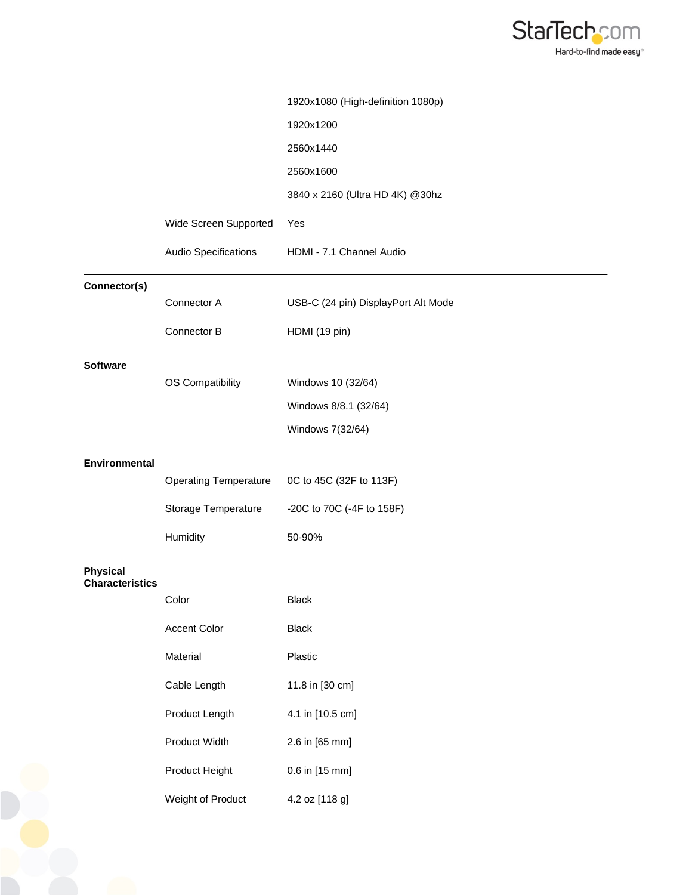

|                                           |                              | 1920x1080 (High-definition 1080p)   |
|-------------------------------------------|------------------------------|-------------------------------------|
|                                           |                              | 1920x1200                           |
|                                           |                              | 2560x1440                           |
|                                           |                              | 2560x1600                           |
|                                           |                              | 3840 x 2160 (Ultra HD 4K) @30hz     |
|                                           | Wide Screen Supported        | Yes                                 |
|                                           | Audio Specifications         | HDMI - 7.1 Channel Audio            |
| Connector(s)                              |                              |                                     |
|                                           | Connector A                  | USB-C (24 pin) DisplayPort Alt Mode |
|                                           | Connector B                  | HDMI (19 pin)                       |
| <b>Software</b>                           |                              |                                     |
|                                           | OS Compatibility             | Windows 10 (32/64)                  |
|                                           |                              | Windows 8/8.1 (32/64)               |
|                                           |                              | Windows 7(32/64)                    |
| Environmental                             |                              |                                     |
|                                           | <b>Operating Temperature</b> | 0C to 45C (32F to 113F)             |
|                                           | Storage Temperature          | -20C to 70C (-4F to 158F)           |
|                                           | Humidity                     | 50-90%                              |
| <b>Physical</b><br><b>Characteristics</b> |                              |                                     |
|                                           | Color                        | <b>Black</b>                        |
|                                           | <b>Accent Color</b>          | <b>Black</b>                        |
|                                           | Material                     | Plastic                             |
|                                           | Cable Length                 | 11.8 in [30 cm]                     |
|                                           | Product Length               | 4.1 in [10.5 cm]                    |
|                                           | Product Width                | 2.6 in [65 mm]                      |
|                                           | Product Height               | 0.6 in [15 mm]                      |
|                                           | Weight of Product            | 4.2 oz [118 g]                      |
|                                           |                              |                                     |